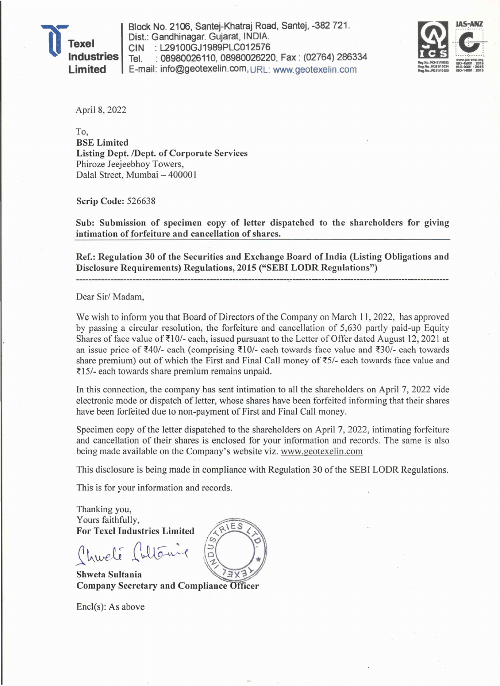

Block No. 2106, Santej-Khatraj Road, Santej, -382 721. Dist.: Gandhinagar. Gujarat, INDIA. CIN : L29100GJ1989PLC012576 Tel. : 08980026110, 08980026220, Fax : (02764) 286334 E-mail: info@geotexelin.com, URL: www.geotexelin.com



April 8, 2022

To, BSE Limited Listing Dept./Dept. of Corporate Services Phiroze Jeejeebhoy Towers, Dalal Street, Mumbai - 400001

Scrip Code: 526638

Sub: Submission of specimen copy of letter dispatched to the shareholders for giving intimation of forfeiture and cancellation of shares.

Ref.: Regulation 30 of the Securities and Exchange Board of India (Listing Obligations and Disclosure Requirements) Regulations, 2015 ("SEBI LODR Regulations")

Dear *Sirl* Madam,

We wish to inform you that Board of Directors of the Company on March 11, 2022, has approved by passing a circular resolution, the forfeiture and cancellation of 5,630 partly paid-up Equity Shares of face value of  $\text{\textsterling}10/-$  each, issued pursuant to the Letter of Offer dated August 12, 2021 at an issue price of  $\bar{\xi}40/$ - each (comprising  $\bar{\xi}10/$ - each towards face value and  $\bar{\xi}30/$ - each towards share premium) out of which the First and Final Call money of  $\bar{\xi}$ 5/- each towards face value and  $\overline{\xi}$ 15/- each towards share premium remains unpaid.

In this connection, the company has sent intimation to all the shareholders on April 7, 2022 vide electronic mode or dispatch of letter, whose shares have been forfeited informing that their shares have been forfeited due to non-payment of First and Final Call money.

Specimen copy of the letter dispatched to the shareholders on April 7, 2022, intimating forfeiture and cancellation of their shares is enclosed for your information and records. The same is also being made available on the Company's website viz. www.geotexelin.com

This disclosure is being made in compliance with Regulation 30 of the SEBI LODR Regulations.

This is for your information and records.

Thanking you, Yours faithfully, For Texel Industries Limited

Churché Sultanie

Shweta Sultania  $3V<sub>2</sub>$ Company Secretary and Compliance

EncI(s): As above